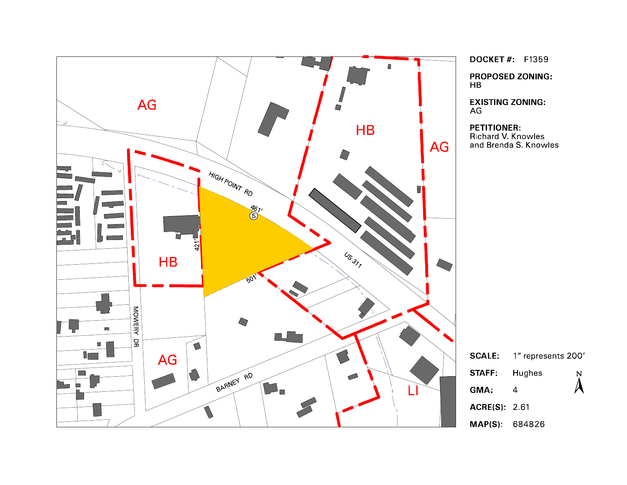

**DOCKET#: F1359 PROPOSED ZONING:** 

**EXISTING ZONING:** 

**PETITIONER:** Richard V. Knowles<br>Richard V. Knowles<br>and Brenda S. Knowles

| <b>SCALE:</b>       | 1" represents 200' |                  |
|---------------------|--------------------|------------------|
| <b>STAFF:</b>       | Hughes             | $\sum_{i=1}^{N}$ |
| GMA:                | 4                  |                  |
| <b>ACRE(S)</b> 2 61 |                    |                  |
| MAP(S): 684826      |                    |                  |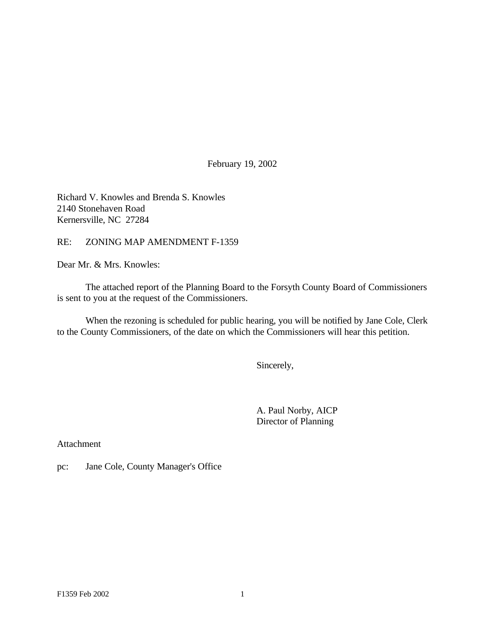February 19, 2002

Richard V. Knowles and Brenda S. Knowles 2140 Stonehaven Road Kernersville, NC 27284

RE: ZONING MAP AMENDMENT F-1359

Dear Mr. & Mrs. Knowles:

The attached report of the Planning Board to the Forsyth County Board of Commissioners is sent to you at the request of the Commissioners.

When the rezoning is scheduled for public hearing, you will be notified by Jane Cole, Clerk to the County Commissioners, of the date on which the Commissioners will hear this petition.

Sincerely,

A. Paul Norby, AICP Director of Planning

Attachment

pc: Jane Cole, County Manager's Office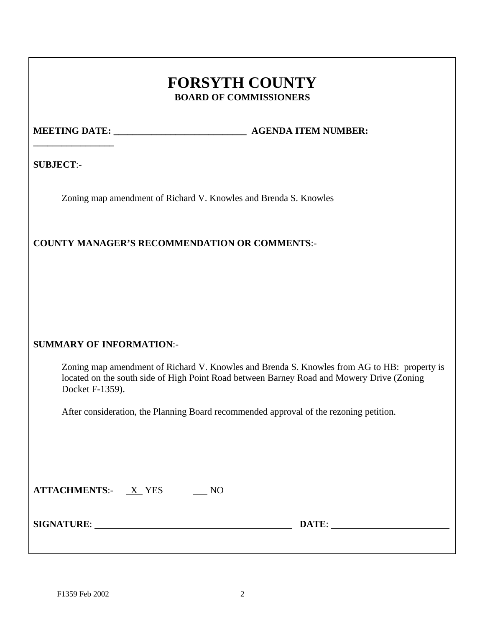# **FORSYTH COUNTY BOARD OF COMMISSIONERS**

**\_\_\_\_\_\_\_\_\_\_\_\_\_\_\_\_\_**

**MEETING DATE:**  $\qquad \qquad$  **AGENDA ITEM NUMBER:** 

**SUBJECT**:-

Zoning map amendment of Richard V. Knowles and Brenda S. Knowles

# **COUNTY MANAGER'S RECOMMENDATION OR COMMENTS**:-

# **SUMMARY OF INFORMATION**:-

Zoning map amendment of Richard V. Knowles and Brenda S. Knowles from AG to HB: property is located on the south side of High Point Road between Barney Road and Mowery Drive (Zoning Docket F-1359).

After consideration, the Planning Board recommended approval of the rezoning petition.

| <b>ATTACHMENTS:-</b> | X YES |  |
|----------------------|-------|--|
|----------------------|-------|--|

**SIGNATURE**: **DATE**: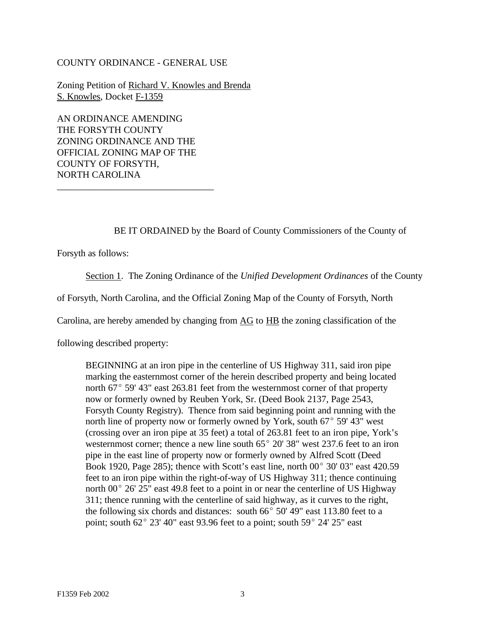#### COUNTY ORDINANCE - GENERAL USE

Zoning Petition of Richard V. Knowles and Brenda S. Knowles, Docket F-1359

AN ORDINANCE AMENDING THE FORSYTH COUNTY ZONING ORDINANCE AND THE OFFICIAL ZONING MAP OF THE COUNTY OF FORSYTH, NORTH CAROLINA

\_\_\_\_\_\_\_\_\_\_\_\_\_\_\_\_\_\_\_\_\_\_\_\_\_\_\_\_\_\_\_\_\_

BE IT ORDAINED by the Board of County Commissioners of the County of

Forsyth as follows:

Section 1. The Zoning Ordinance of the *Unified Development Ordinances* of the County

of Forsyth, North Carolina, and the Official Zoning Map of the County of Forsyth, North

Carolina, are hereby amended by changing from AG to HB the zoning classification of the

following described property:

BEGINNING at an iron pipe in the centerline of US Highway 311, said iron pipe marking the easternmost corner of the herein described property and being located north  $67^{\circ}$  59' 43" east 263.81 feet from the westernmost corner of that property now or formerly owned by Reuben York, Sr. (Deed Book 2137, Page 2543, Forsyth County Registry). Thence from said beginning point and running with the north line of property now or formerly owned by York, south  $67^{\circ}$  59' 43" west (crossing over an iron pipe at 35 feet) a total of 263.81 feet to an iron pipe, York's westernmost corner; thence a new line south  $65^{\circ}$  20' 38" west 237.6 feet to an iron pipe in the east line of property now or formerly owned by Alfred Scott (Deed Book 1920, Page 285); thence with Scott's east line, north  $00^{\circ}$  30' 03" east 420.59 feet to an iron pipe within the right-of-way of US Highway 311; thence continuing north  $00^{\circ}$  26' 25" east 49.8 feet to a point in or near the centerline of US Highway 311; thence running with the centerline of said highway, as it curves to the right, the following six chords and distances: south  $66^{\circ}$  50' 49" east 113.80 feet to a point; south  $62^{\circ}$  23' 40" east 93.96 feet to a point; south  $59^{\circ}$  24' 25" east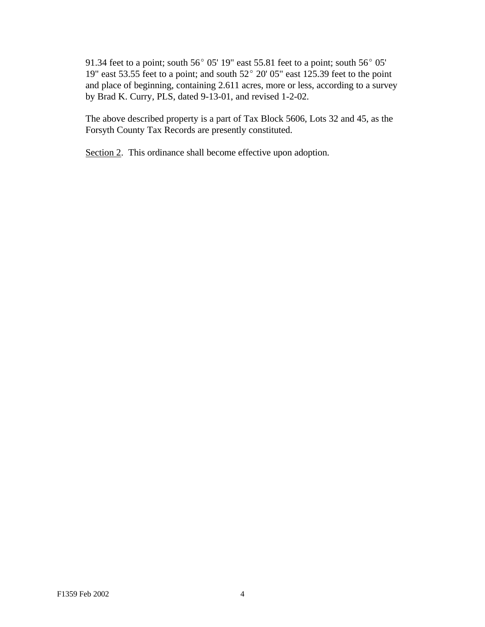91.34 feet to a point; south 56 $^{\circ}$  05' 19" east 55.81 feet to a point; south 56 $^{\circ}$  05' 19" east 53.55 feet to a point; and south  $52^{\circ}$  20' 05" east 125.39 feet to the point and place of beginning, containing 2.611 acres, more or less, according to a survey by Brad K. Curry, PLS, dated 9-13-01, and revised 1-2-02.

The above described property is a part of Tax Block 5606, Lots 32 and 45, as the Forsyth County Tax Records are presently constituted.

Section 2. This ordinance shall become effective upon adoption.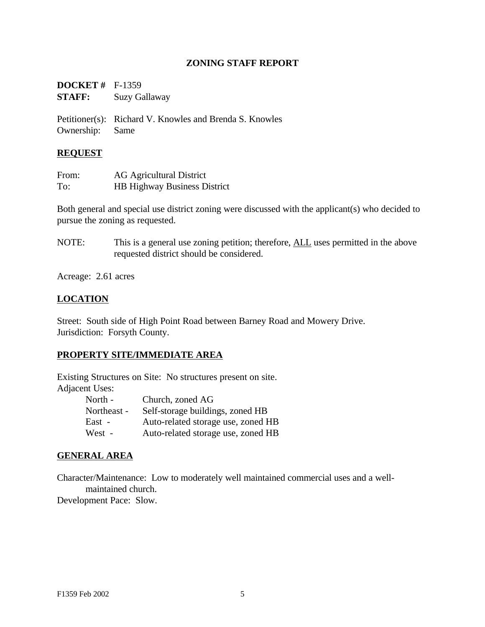#### **ZONING STAFF REPORT**

| <b>DOCKET</b> # $F-1359$ |                      |
|--------------------------|----------------------|
| <b>STAFF:</b>            | <b>Suzy Gallaway</b> |

Petitioner(s): Richard V. Knowles and Brenda S. Knowles Ownership: Same

#### **REQUEST**

| From: | <b>AG Agricultural District</b>     |
|-------|-------------------------------------|
| To:   | <b>HB Highway Business District</b> |

Both general and special use district zoning were discussed with the applicant(s) who decided to pursue the zoning as requested.

NOTE: This is a general use zoning petition; therefore, ALL uses permitted in the above requested district should be considered.

Acreage: 2.61 acres

## **LOCATION**

Street: South side of High Point Road between Barney Road and Mowery Drive. Jurisdiction: Forsyth County.

## **PROPERTY SITE/IMMEDIATE AREA**

Existing Structures on Site: No structures present on site. Adjacent Uses:

| North -     | Church, zoned AG                   |
|-------------|------------------------------------|
| Northeast - | Self-storage buildings, zoned HB   |
| East -      | Auto-related storage use, zoned HB |
| West -      | Auto-related storage use, zoned HB |

#### **GENERAL AREA**

Character/Maintenance: Low to moderately well maintained commercial uses and a wellmaintained church.

Development Pace: Slow.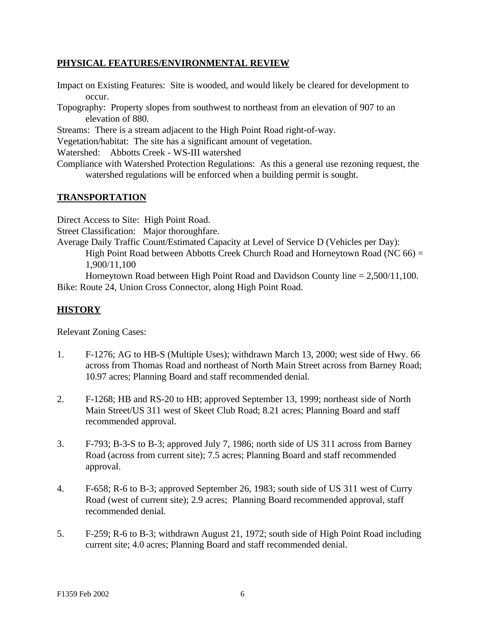### **PHYSICAL FEATURES/ENVIRONMENTAL REVIEW**

- Impact on Existing Features: Site is wooded, and would likely be cleared for development to occur.
- Topography: Property slopes from southwest to northeast from an elevation of 907 to an elevation of 880.

Streams: There is a stream adjacent to the High Point Road right-of-way.

Vegetation/habitat: The site has a significant amount of vegetation.

Watershed: Abbotts Creek - WS-III watershed

Compliance with Watershed Protection Regulations: As this a general use rezoning request, the watershed regulations will be enforced when a building permit is sought.

#### **TRANSPORTATION**

Direct Access to Site: High Point Road.

Street Classification: Major thoroughfare.

Average Daily Traffic Count/Estimated Capacity at Level of Service D (Vehicles per Day): High Point Road between Abbotts Creek Church Road and Horneytown Road (NC  $66$ ) = 1,900/11,100

Horneytown Road between High Point Road and Davidson County line  $= 2,500/11,100$ . Bike: Route 24, Union Cross Connector, along High Point Road.

## **HISTORY**

Relevant Zoning Cases:

- 1. F-1276; AG to HB-S (Multiple Uses); withdrawn March 13, 2000; west side of Hwy. 66 across from Thomas Road and northeast of North Main Street across from Barney Road; 10.97 acres; Planning Board and staff recommended denial.
- 2. F-1268; HB and RS-20 to HB; approved September 13, 1999; northeast side of North Main Street/US 311 west of Skeet Club Road; 8.21 acres; Planning Board and staff recommended approval.
- 3. F-793; B-3-S to B-3; approved July 7, 1986; north side of US 311 across from Barney Road (across from current site); 7.5 acres; Planning Board and staff recommended approval.
- 4. F-658; R-6 to B-3; approved September 26, 1983; south side of US 311 west of Curry Road (west of current site); 2.9 acres; Planning Board recommended approval, staff recommended denial.
- 5. F-259; R-6 to B-3; withdrawn August 21, 1972; south side of High Point Road including current site; 4.0 acres; Planning Board and staff recommended denial.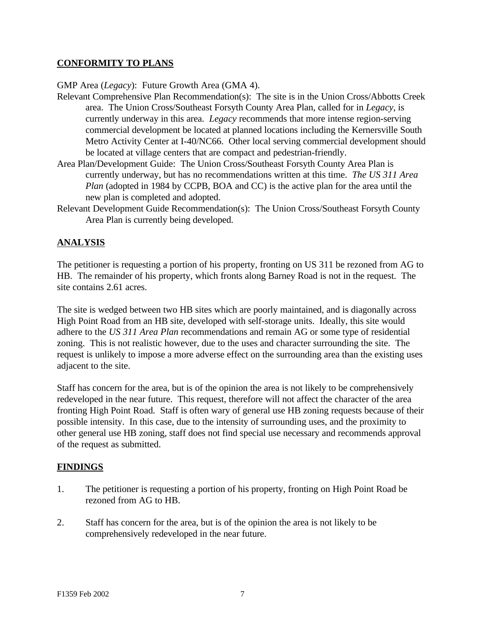## **CONFORMITY TO PLANS**

GMP Area (*Legacy*): Future Growth Area (GMA 4).

Relevant Comprehensive Plan Recommendation(s): The site is in the Union Cross/Abbotts Creek area. The Union Cross/Southeast Forsyth County Area Plan, called for in *Legacy*, is currently underway in this area. *Legacy* recommends that more intense region-serving commercial development be located at planned locations including the Kernersville South Metro Activity Center at I-40/NC66. Other local serving commercial development should be located at village centers that are compact and pedestrian-friendly.

- Area Plan/Development Guide: The Union Cross/Southeast Forsyth County Area Plan is currently underway, but has no recommendations written at this time. *The US 311 Area Plan* (adopted in 1984 by CCPB, BOA and CC) is the active plan for the area until the new plan is completed and adopted.
- Relevant Development Guide Recommendation(s): The Union Cross/Southeast Forsyth County Area Plan is currently being developed.

## **ANALYSIS**

The petitioner is requesting a portion of his property, fronting on US 311 be rezoned from AG to HB. The remainder of his property, which fronts along Barney Road is not in the request. The site contains 2.61 acres.

The site is wedged between two HB sites which are poorly maintained, and is diagonally across High Point Road from an HB site, developed with self-storage units. Ideally, this site would adhere to the *US 311 Area Plan* recommendations and remain AG or some type of residential zoning. This is not realistic however, due to the uses and character surrounding the site. The request is unlikely to impose a more adverse effect on the surrounding area than the existing uses adjacent to the site.

Staff has concern for the area, but is of the opinion the area is not likely to be comprehensively redeveloped in the near future. This request, therefore will not affect the character of the area fronting High Point Road. Staff is often wary of general use HB zoning requests because of their possible intensity. In this case, due to the intensity of surrounding uses, and the proximity to other general use HB zoning, staff does not find special use necessary and recommends approval of the request as submitted.

#### **FINDINGS**

- 1. The petitioner is requesting a portion of his property, fronting on High Point Road be rezoned from AG to HB.
- 2. Staff has concern for the area, but is of the opinion the area is not likely to be comprehensively redeveloped in the near future.